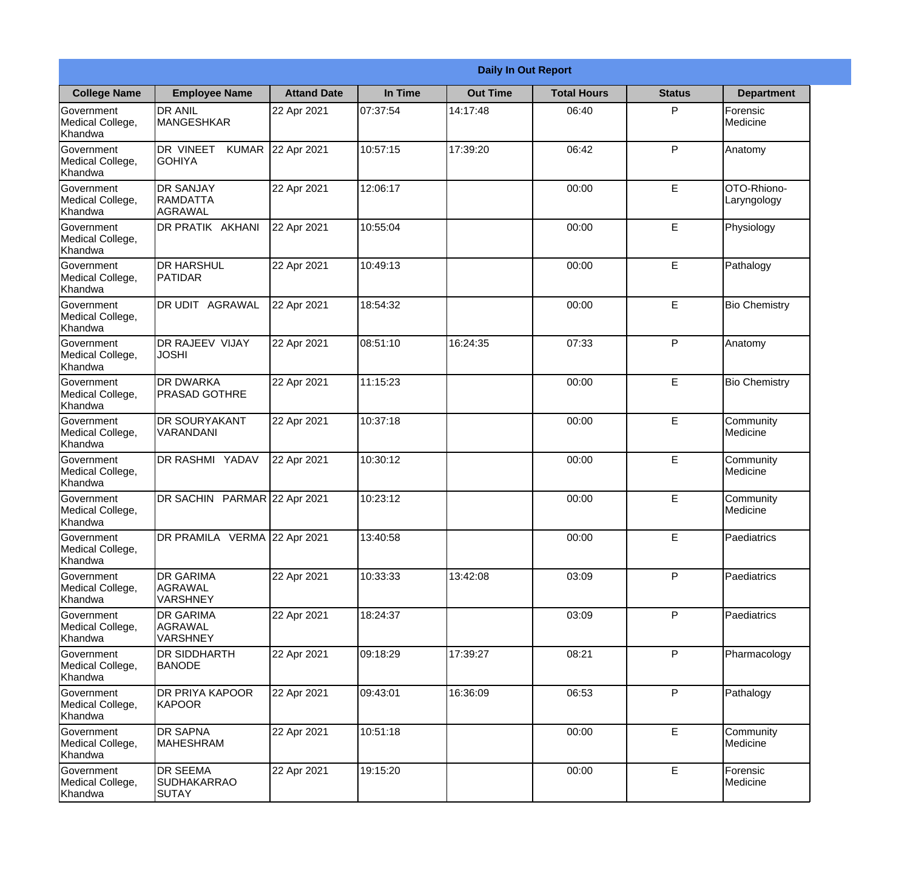|                                                  | <b>Daily In Out Report</b>                            |                    |          |                 |                    |               |                            |  |
|--------------------------------------------------|-------------------------------------------------------|--------------------|----------|-----------------|--------------------|---------------|----------------------------|--|
| <b>College Name</b>                              | <b>Employee Name</b>                                  | <b>Attand Date</b> | In Time  | <b>Out Time</b> | <b>Total Hours</b> | <b>Status</b> | <b>Department</b>          |  |
| Government<br>Medical College,<br>Khandwa        | <b>DR ANIL</b><br><b>MANGESHKAR</b>                   | 22 Apr 2021        | 07:37:54 | 14:17:48        | 06:40              | P             | Forensic<br>Medicine       |  |
| Government<br>Medical College,<br>Khandwa        | DR VINEET<br><b>KUMAR</b><br><b>GOHIYA</b>            | 22 Apr 2021        | 10:57:15 | 17:39:20        | 06:42              | P             | Anatomy                    |  |
| <b>Government</b><br>Medical College,<br>Khandwa | <b>IDR SANJAY</b><br>RAMDATTA<br>lagrawal             | 22 Apr 2021        | 12:06:17 |                 | 00:00              | E             | OTO-Rhiono-<br>Laryngology |  |
| Government<br>Medical College,<br>Khandwa        | DR PRATIK AKHANI                                      | 22 Apr 2021        | 10:55:04 |                 | 00:00              | E             | Physiology                 |  |
| Government<br>Medical College,<br>Khandwa        | <b>IDR HARSHUL</b><br>PATIDAR                         | 22 Apr 2021        | 10:49:13 |                 | 00:00              | E             | Pathalogy                  |  |
| Government<br>Medical College,<br>Khandwa        | DR UDIT AGRAWAL                                       | 22 Apr 2021        | 18:54:32 |                 | 00:00              | E             | <b>Bio Chemistry</b>       |  |
| Government<br>Medical College,<br>Khandwa        | <b>DR RAJEEV VIJAY</b><br><b>JOSHI</b>                | 22 Apr 2021        | 08:51:10 | 16:24:35        | 07:33              | P             | Anatomy                    |  |
| Government<br>Medical College,<br>Khandwa        | <b>DR DWARKA</b><br><b>IPRASAD GOTHRE</b>             | 22 Apr 2021        | 11:15:23 |                 | 00:00              | E             | <b>Bio Chemistry</b>       |  |
| Government<br>Medical College,<br>Khandwa        | <b>DR SOURYAKANT</b><br>VARANDANI                     | 22 Apr 2021        | 10:37:18 |                 | 00:00              | E             | Community<br>Medicine      |  |
| Government<br>Medical College,<br>Khandwa        | DR RASHMI YADAV                                       | 22 Apr 2021        | 10:30:12 |                 | 00:00              | E             | Community<br>Medicine      |  |
| Government<br>Medical College,<br>Khandwa        | DR SACHIN PARMAR 22 Apr 2021                          |                    | 10:23:12 |                 | 00:00              | E             | Community<br>Medicine      |  |
| Government<br>Medical College,<br>Khandwa        | DR PRAMILA VERMA 22 Apr 2021                          |                    | 13:40:58 |                 | 00:00              | E             | Paediatrics                |  |
| <b>Government</b><br>Medical College,<br>Khandwa | <b>DR GARIMA</b><br>AGRAWAL<br><b>VARSHNEY</b>        | 22 Apr 2021        | 10:33:33 | 13:42:08        | 03:09              | P             | Paediatrics                |  |
| Government<br>Medical College,<br>Khandwa        | <b>DR GARIMA</b><br><b>AGRAWAL</b><br><b>VARSHNEY</b> | 22 Apr 2021        | 18:24:37 |                 | 03:09              | P             | Paediatrics                |  |
| Government<br>Medical College,<br>Khandwa        | <b>DR SIDDHARTH</b><br><b>BANODE</b>                  | 22 Apr 2021        | 09:18:29 | 17:39:27        | 08:21              | $\mathsf{P}$  | Pharmacology               |  |
| Government<br>Medical College,<br>Khandwa        | <b>DR PRIYA KAPOOR</b><br>KAPOOR                      | 22 Apr 2021        | 09:43:01 | 16:36:09        | 06:53              | P             | Pathalogy                  |  |
| Government<br>Medical College,<br>Khandwa        | <b>DR SAPNA</b><br>MAHESHRAM                          | 22 Apr 2021        | 10:51:18 |                 | 00:00              | E             | Community<br>Medicine      |  |
| Government<br>Medical College,<br>Khandwa        | <b>DR SEEMA</b><br>SUDHAKARRAO<br><b>SUTAY</b>        | 22 Apr 2021        | 19:15:20 |                 | 00:00              | E             | Forensic<br>Medicine       |  |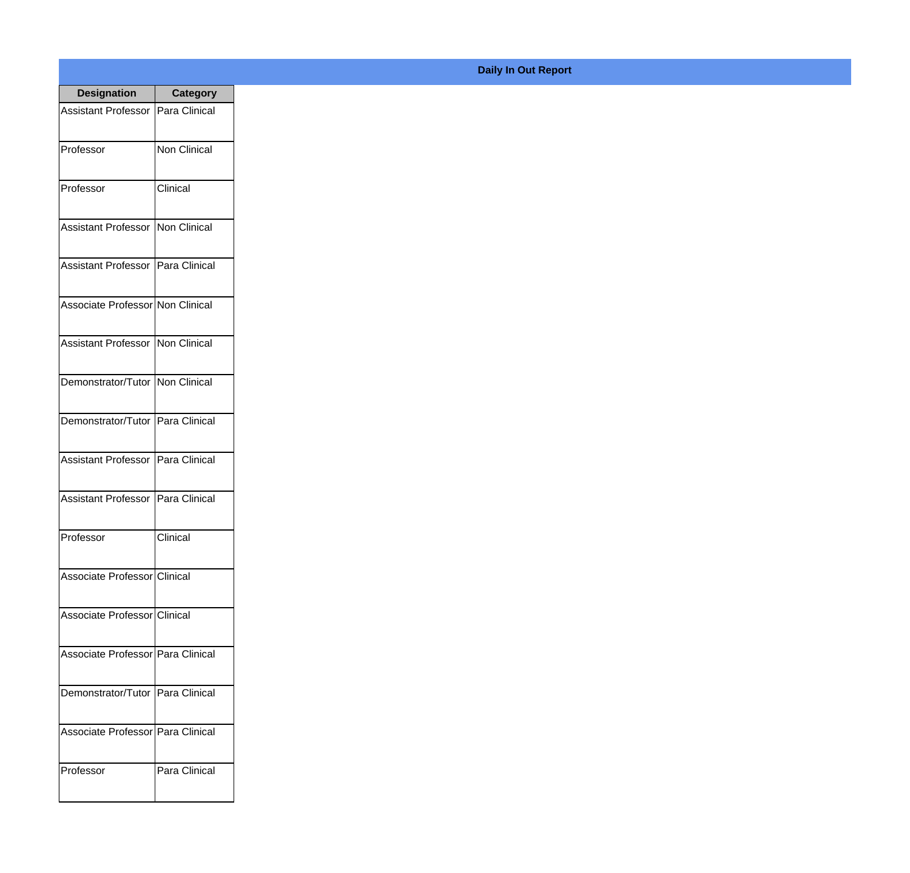| <b>Designation</b>                  | <b>Category</b>     |
|-------------------------------------|---------------------|
| Assistant Professor                 | Para Clinical       |
| Professor                           | <b>Non Clinical</b> |
| Professor                           | Clinical            |
| Assistant Professor                 | Non Clinical        |
| <b>Assistant Professor</b>          | Para Clinical       |
| Associate Professor Non Clinical    |                     |
| Assistant Professor   Non Clinical  |                     |
| Demonstrator/Tutor   Non Clinical   |                     |
| Demonstrator/Tutor   Para Clinical  |                     |
| <b>Assistant Professor</b>          | Para Clinical       |
| Assistant Professor                 | Para Clinical       |
| Professor                           | Clinical            |
| Associate Professor Clinical        |                     |
| Associate Professor Clinical        |                     |
| Associate Professor Para Clinical   |                     |
| Demonstrator/Tutor                  | Para Clinical       |
| Associate Professor   Para Clinical |                     |
| Professor                           | Para Clinical       |

## **Daily In Out Report**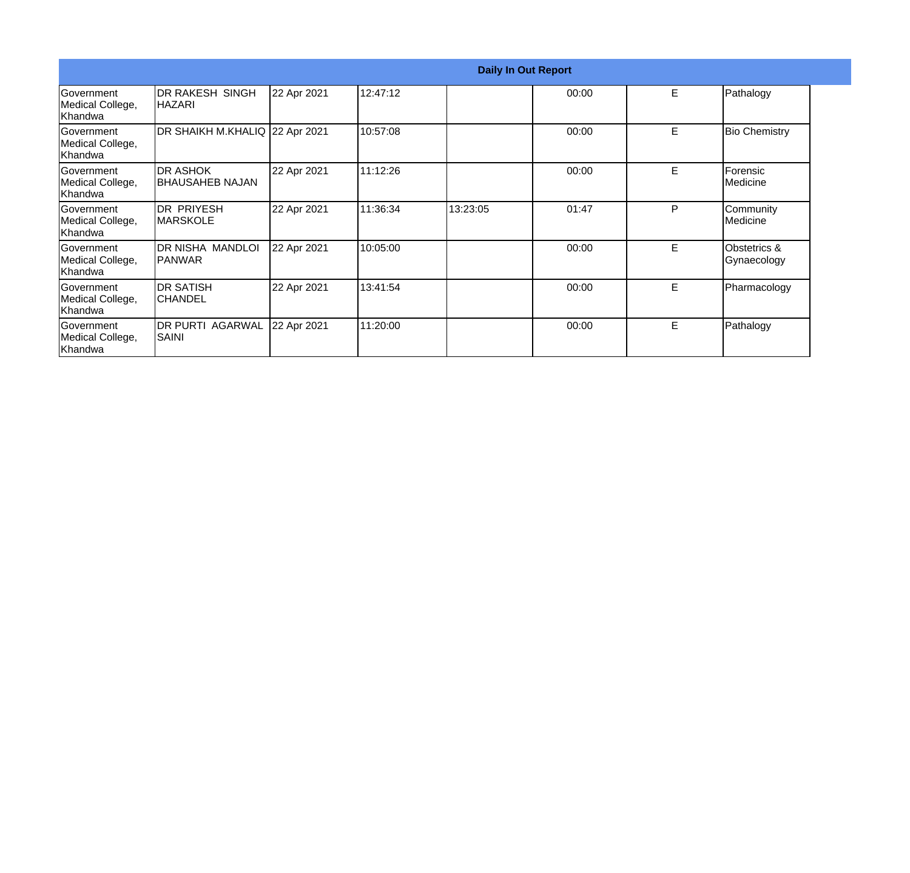|                                                   | <b>Daily In Out Report</b>                 |             |          |          |       |    |                             |  |
|---------------------------------------------------|--------------------------------------------|-------------|----------|----------|-------|----|-----------------------------|--|
| <b>Government</b><br>Medical College,<br> Khandwa | DR RAKESH SINGH<br>IHAZARI                 | 22 Apr 2021 | 12:47:12 |          | 00:00 | E  | Pathalogy                   |  |
| <b>Government</b><br>Medical College,<br> Khandwa | DR SHAIKH M.KHALIQ 22 Apr 2021             |             | 10:57:08 |          | 00:00 | E  | <b>Bio Chemistry</b>        |  |
| lGovernment<br>Medical College,<br> Khandwa       | <b>DR ASHOK</b><br><b>IBHAUSAHEB NAJAN</b> | 22 Apr 2021 | 11:12:26 |          | 00:00 | E  | Forensic<br>Medicine        |  |
| Government<br>Medical College,<br>Khandwa         | IDR PRIYESH<br><b>IMARSKOLE</b>            | 22 Apr 2021 | 11:36:34 | 13:23:05 | 01:47 | P  | Community<br>Medicine       |  |
| <b>Government</b><br>Medical College,<br> Khandwa | DR NISHA MANDLOI<br>IPANWAR                | 22 Apr 2021 | 10:05:00 |          | 00:00 | E  | Obstetrics &<br>Gynaecology |  |
| lGovernment<br>Medical College,<br>Khandwa        | <b>DR SATISH</b><br>ICHANDEL               | 22 Apr 2021 | 13:41:54 |          | 00:00 | E. | Pharmacology                |  |
| Government<br>Medical College,<br>Khandwa         | <b>DR PURTI AGARWAL</b><br>SAINI           | 22 Apr 2021 | 11:20:00 |          | 00:00 | E  | Pathalogy                   |  |